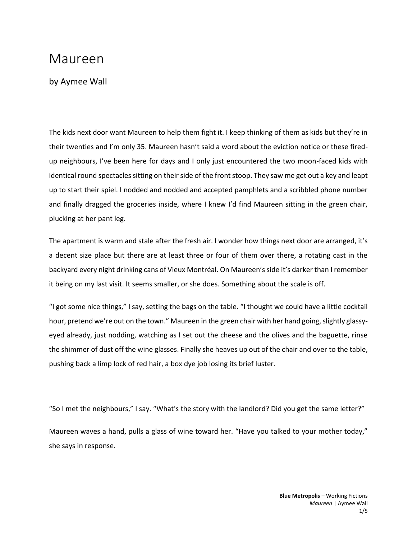## Maureen

by Aymee Wall

The kids next door want Maureen to help them fight it. I keep thinking of them as kids but they're in their twenties and I'm only 35. Maureen hasn't said a word about the eviction notice or these firedup neighbours, I've been here for days and I only just encountered the two moon-faced kids with identical round spectacles sitting on their side of the front stoop. They saw me get out a key and leapt up to start their spiel. I nodded and nodded and accepted pamphlets and a scribbled phone number and finally dragged the groceries inside, where I knew I'd find Maureen sitting in the green chair, plucking at her pant leg.

The apartment is warm and stale after the fresh air. I wonder how things next door are arranged, it's a decent size place but there are at least three or four of them over there, a rotating cast in the backyard every night drinking cans of Vieux Montréal. On Maureen's side it's darker than I remember it being on my last visit. It seems smaller, or she does. Something about the scale is off.

"I got some nice things," I say, setting the bags on the table. "I thought we could have a little cocktail hour, pretend we're out on the town." Maureen in the green chair with her hand going, slightly glassyeyed already, just nodding, watching as I set out the cheese and the olives and the baguette, rinse the shimmer of dust off the wine glasses. Finally she heaves up out of the chair and over to the table, pushing back a limp lock of red hair, a box dye job losing its brief luster.

"So I met the neighbours," I say. "What's the story with the landlord? Did you get the same letter?"

Maureen waves a hand, pulls a glass of wine toward her. "Have you talked to your mother today," she says in response.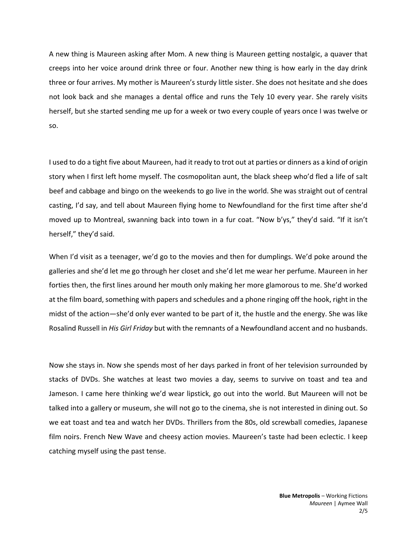A new thing is Maureen asking after Mom. A new thing is Maureen getting nostalgic, a quaver that creeps into her voice around drink three or four. Another new thing is how early in the day drink three or four arrives. My mother is Maureen's sturdy little sister. She does not hesitate and she does not look back and she manages a dental office and runs the Tely 10 every year. She rarely visits herself, but she started sending me up for a week or two every couple of years once I was twelve or so.

I used to do a tight five about Maureen, had it ready to trot out at parties or dinners as a kind of origin story when I first left home myself. The cosmopolitan aunt, the black sheep who'd fled a life of salt beef and cabbage and bingo on the weekends to go live in the world. She was straight out of central casting, I'd say, and tell about Maureen flying home to Newfoundland for the first time after she'd moved up to Montreal, swanning back into town in a fur coat. "Now b'ys," they'd said. "If it isn't herself," they'd said.

When I'd visit as a teenager, we'd go to the movies and then for dumplings. We'd poke around the galleries and she'd let me go through her closet and she'd let me wear her perfume. Maureen in her forties then, the first lines around her mouth only making her more glamorous to me. She'd worked at the film board, something with papers and schedules and a phone ringing off the hook, right in the midst of the action—she'd only ever wanted to be part of it, the hustle and the energy. She was like Rosalind Russell in *His Girl Friday* but with the remnants of a Newfoundland accent and no husbands.

Now she stays in. Now she spends most of her days parked in front of her television surrounded by stacks of DVDs. She watches at least two movies a day, seems to survive on toast and tea and Jameson. I came here thinking we'd wear lipstick, go out into the world. But Maureen will not be talked into a gallery or museum, she will not go to the cinema, she is not interested in dining out. So we eat toast and tea and watch her DVDs. Thrillers from the 80s, old screwball comedies, Japanese film noirs. French New Wave and cheesy action movies. Maureen's taste had been eclectic. I keep catching myself using the past tense.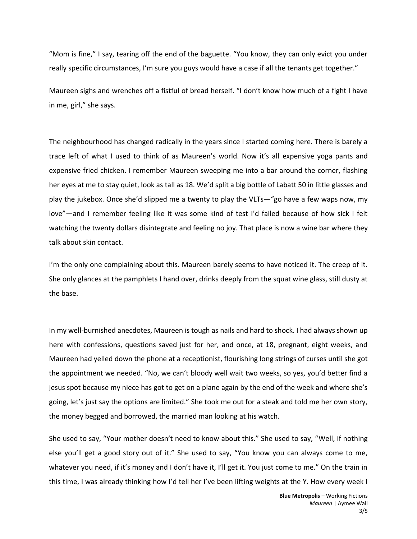"Mom is fine," I say, tearing off the end of the baguette. "You know, they can only evict you under really specific circumstances, I'm sure you guys would have a case if all the tenants get together."

Maureen sighs and wrenches off a fistful of bread herself. "I don't know how much of a fight I have in me, girl," she says.

The neighbourhood has changed radically in the years since I started coming here. There is barely a trace left of what I used to think of as Maureen's world. Now it's all expensive yoga pants and expensive fried chicken. I remember Maureen sweeping me into a bar around the corner, flashing her eyes at me to stay quiet, look as tall as 18. We'd split a big bottle of Labatt 50 in little glasses and play the jukebox. Once she'd slipped me a twenty to play the VLTs—"go have a few waps now, my love"—and I remember feeling like it was some kind of test I'd failed because of how sick I felt watching the twenty dollars disintegrate and feeling no joy. That place is now a wine bar where they talk about skin contact.

I'm the only one complaining about this. Maureen barely seems to have noticed it. The creep of it. She only glances at the pamphlets I hand over, drinks deeply from the squat wine glass, still dusty at the base.

In my well-burnished anecdotes, Maureen is tough as nails and hard to shock. I had always shown up here with confessions, questions saved just for her, and once, at 18, pregnant, eight weeks, and Maureen had yelled down the phone at a receptionist, flourishing long strings of curses until she got the appointment we needed. "No, we can't bloody well wait two weeks, so yes, you'd better find a jesus spot because my niece has got to get on a plane again by the end of the week and where she's going, let's just say the options are limited." She took me out for a steak and told me her own story, the money begged and borrowed, the married man looking at his watch.

She used to say, "Your mother doesn't need to know about this." She used to say, "Well, if nothing else you'll get a good story out of it." She used to say, "You know you can always come to me, whatever you need, if it's money and I don't have it, I'll get it. You just come to me." On the train in this time, I was already thinking how I'd tell her I've been lifting weights at the Y. How every week I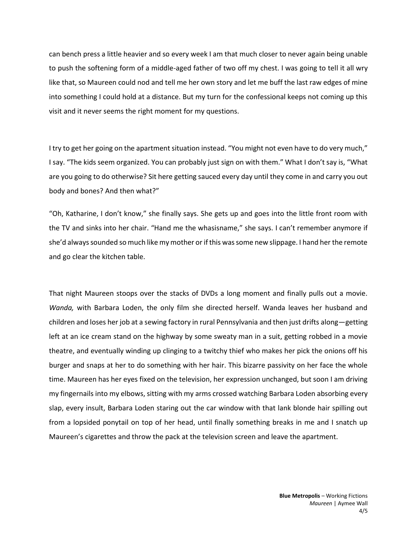can bench press a little heavier and so every week I am that much closer to never again being unable to push the softening form of a middle-aged father of two off my chest. I was going to tell it all wry like that, so Maureen could nod and tell me her own story and let me buff the last raw edges of mine into something I could hold at a distance. But my turn for the confessional keeps not coming up this visit and it never seems the right moment for my questions.

I try to get her going on the apartment situation instead. "You might not even have to do very much," I say. "The kids seem organized. You can probably just sign on with them." What I don't say is, "What are you going to do otherwise? Sit here getting sauced every day until they come in and carry you out body and bones? And then what?"

"Oh, Katharine, I don't know," she finally says. She gets up and goes into the little front room with the TV and sinks into her chair. "Hand me the whasisname," she says. I can't remember anymore if she'd always sounded so much like my mother or if this was some new slippage. I hand her the remote and go clear the kitchen table.

That night Maureen stoops over the stacks of DVDs a long moment and finally pulls out a movie. *Wanda,* with Barbara Loden, the only film she directed herself. Wanda leaves her husband and children and loses her job at a sewing factory in rural Pennsylvania and then just drifts along—getting left at an ice cream stand on the highway by some sweaty man in a suit, getting robbed in a movie theatre, and eventually winding up clinging to a twitchy thief who makes her pick the onions off his burger and snaps at her to do something with her hair. This bizarre passivity on her face the whole time. Maureen has her eyes fixed on the television, her expression unchanged, but soon I am driving my fingernails into my elbows, sitting with my arms crossed watching Barbara Loden absorbing every slap, every insult, Barbara Loden staring out the car window with that lank blonde hair spilling out from a lopsided ponytail on top of her head, until finally something breaks in me and I snatch up Maureen's cigarettes and throw the pack at the television screen and leave the apartment.